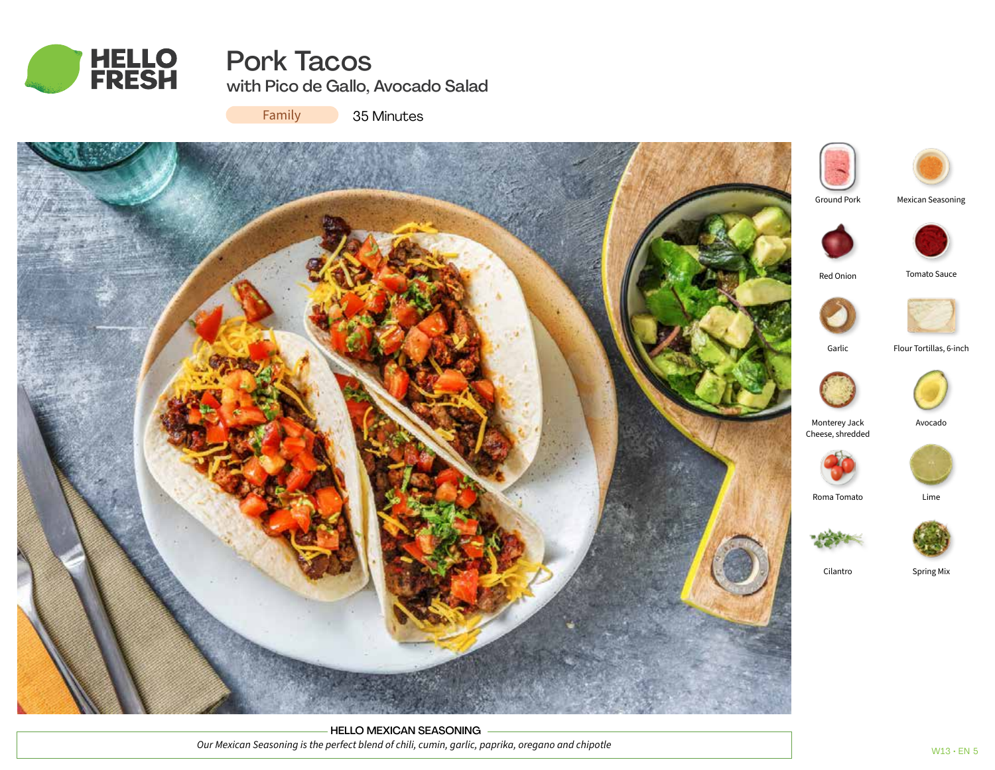

# Pork Tacos with Pico de Gallo, Avocado Salad

Family

35 Minutes